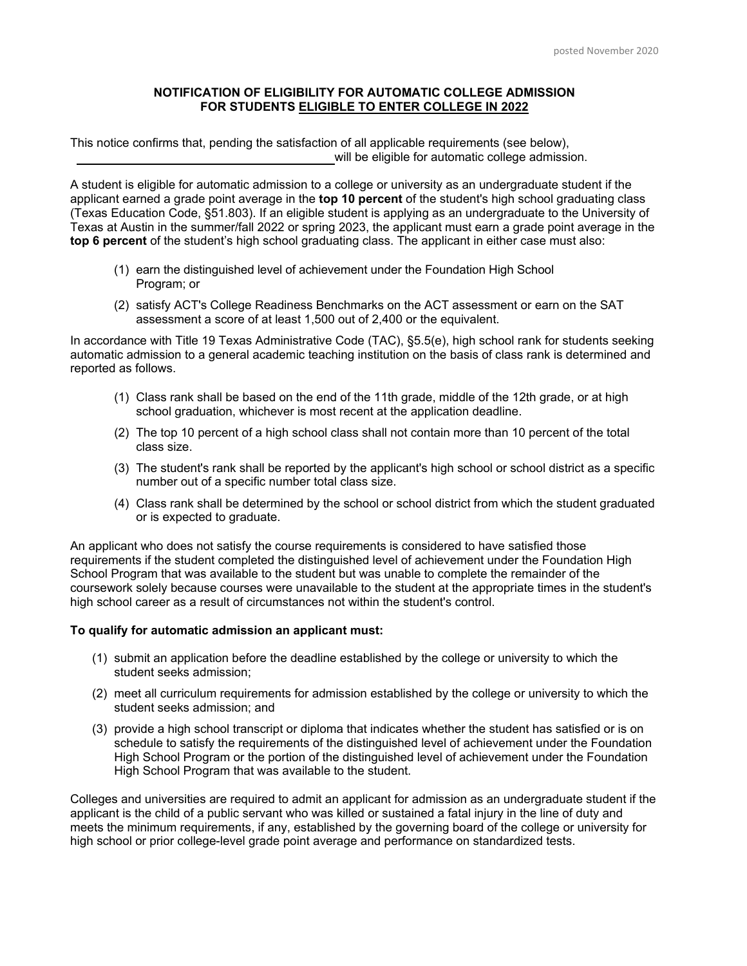## **NOTIFICATION OF ELIGIBILITY FOR AUTOMATIC COLLEGE ADMISSION FOR STUDENTS ELIGIBLE TO ENTER COLLEGE IN 2022**

This notice confirms that, pending the satisfaction of all applicable requirements (see below), will be eligible for automatic college admission.

A student is eligible for automatic admission to a college or university as an undergraduate student if the applicant earned a grade point average in the **top 10 percent** of the student's high school graduating class (Texas Education Code, §51.803). If an eligible student is applying as an undergraduate to the University of Texas at Austin in the summer/fall 2022 or spring 2023, the applicant must earn a grade point average in the **top 6 percent** of the student's high school graduating class. The applicant in either case must also:

- (1) earn the distinguished level of achievement under the Foundation High School Program; or
- (2) satisfy ACT's College Readiness Benchmarks on the ACT assessment or earn on the SAT assessment a score of at least 1,500 out of 2,400 or the equivalent.

In accordance with Title 19 Texas Administrative Code (TAC), §5.5(e), high school rank for students seeking automatic admission to a general academic teaching institution on the basis of class rank is determined and reported as follows.

- (1) Class rank shall be based on the end of the 11th grade, middle of the 12th grade, or at high school graduation, whichever is most recent at the application deadline.
- (2) The top 10 percent of a high school class shall not contain more than 10 percent of the total class size.
- (3) The student's rank shall be reported by the applicant's high school or school district as a specific number out of a specific number total class size.
- (4) Class rank shall be determined by the school or school district from which the student graduated or is expected to graduate.

An applicant who does not satisfy the course requirements is considered to have satisfied those requirements if the student completed the distinguished level of achievement under the Foundation High School Program that was available to the student but was unable to complete the remainder of the coursework solely because courses were unavailable to the student at the appropriate times in the student's high school career as a result of circumstances not within the student's control.

## **To qualify for automatic admission an applicant must:**

- (1) submit an application before the deadline established by the college or university to which the student seeks admission;
- (2) meet all curriculum requirements for admission established by the college or university to which the student seeks admission; and
- (3) provide a high school transcript or diploma that indicates whether the student has satisfied or is on schedule to satisfy the requirements of the distinguished level of achievement under the Foundation High School Program or the portion of the distinguished level of achievement under the Foundation High School Program that was available to the student.

Colleges and universities are required to admit an applicant for admission as an undergraduate student if the applicant is the child of a public servant who was killed or sustained a fatal injury in the line of duty and meets the minimum requirements, if any, established by the governing board of the college or university for high school or prior college-level grade point average and performance on standardized tests.